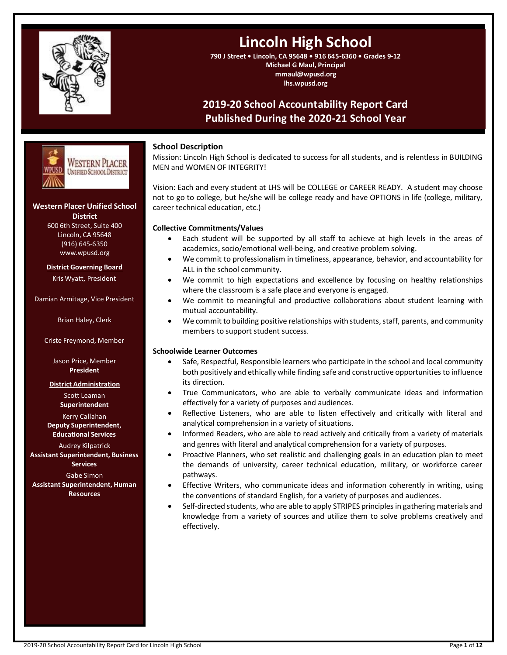

# **Lincoln High School**

**790 J Street • Lincoln, CA 95648 • 916 645-6360 • Grades 9-12 Michael G Maul, Principal mmaul@wpusd.org lhs.wpusd.org**

## **2019-20 School Accountability Report Card Published During the 2020-21 School Year**



## **Western Placer Unified School**

**District** 600 6th Street, Suite 400 Lincoln, CA 95648 (916) 645-6350 www.wpusd.org

**District Governing Board** Kris Wyatt, President

Damian Armitage, Vice President

Brian Haley, Clerk

Criste Freymond, Member

Jason Price, Member **President**

**District Administration**

Scott Leaman **Superintendent**

Kerry Callahan **Deputy Superintendent, Educational Services**

Audrey Kilpatrick **Assistant Superintendent, Business Services**

Gabe Simon **Assistant Superintendent, Human Resources**

## **School Description**

Mission: Lincoln High School is dedicated to success for all students, and is relentless in BUILDING MEN and WOMEN OF INTEGRITY!

Vision: Each and every student at LHS will be COLLEGE or CAREER READY. A student may choose not to go to college, but he/she will be college ready and have OPTIONS in life (college, military, career technical education, etc.)

## **Collective Commitments/Values**

- Each student will be supported by all staff to achieve at high levels in the areas of academics, socio/emotional well-being, and creative problem solving.
- We commit to professionalism in timeliness, appearance, behavior, and accountability for ALL in the school community.
- We commit to high expectations and excellence by focusing on healthy relationships where the classroom is a safe place and everyone is engaged.
- We commit to meaningful and productive collaborations about student learning with mutual accountability.
- We commit to building positive relationships with students, staff, parents, and community members to support student success.

## **Schoolwide Learner Outcomes**

- Safe, Respectful, Responsible learners who participate in the school and local community both positively and ethically while finding safe and constructive opportunities to influence its direction.
- True Communicators, who are able to verbally communicate ideas and information effectively for a variety of purposes and audiences.
- Reflective Listeners, who are able to listen effectively and critically with literal and analytical comprehension in a variety of situations.
- Informed Readers, who are able to read actively and critically from a variety of materials and genres with literal and analytical comprehension for a variety of purposes.
- Proactive Planners, who set realistic and challenging goals in an education plan to meet the demands of university, career technical education, military, or workforce career pathways.
- Effective Writers, who communicate ideas and information coherently in writing, using the conventions of standard English, for a variety of purposes and audiences.
- Self-directed students, who are able to apply STRIPES principles in gathering materials and knowledge from a variety of sources and utilize them to solve problems creatively and effectively.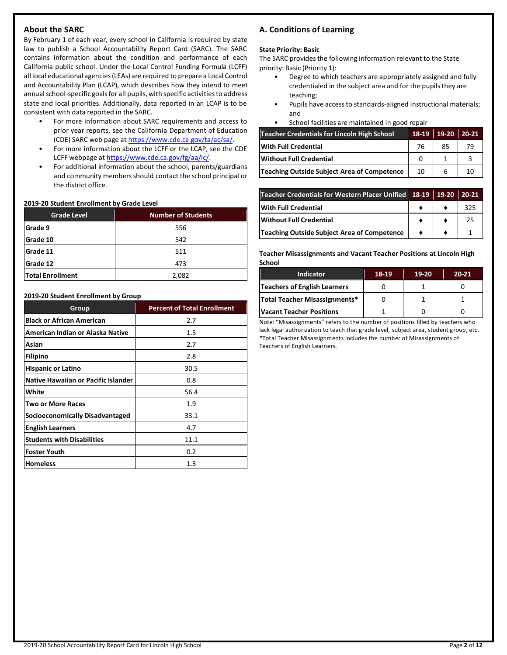## **About the SARC**

By February 1 of each year, every school in California is required by state law to publish a School Accountability Report Card (SARC). The SARC contains information about the condition and performance of each California public school. Under the Local Control Funding Formula (LCFF) all local educational agencies (LEAs) are required to prepare a Local Control and Accountability Plan (LCAP), which describes how they intend to meet annual school-specific goals for all pupils, with specific activities to address state and local priorities. Additionally, data reported in an LCAP is to be consistent with data reported in the SARC.

- For more information about SARC requirements and access to prior year reports, see the California Department of Education (CDE) SARC web page at [https://www.cde.ca.gov/ta/ac/sa/.](https://www.cde.ca.gov/ta/ac/sa/)
- For more information about the LCFF or the LCAP, see the CDE LCFF webpage a[t https://www.cde.ca.gov/fg/aa/lc/.](https://www.cde.ca.gov/fg/aa/lc/)
- For additional information about the school, parents/guardians and community members should contact the school principal or the district office.

#### **2019-20 Student Enrollment by Grade Level**

| <b>Grade Level</b>      | <b>Number of Students</b> |
|-------------------------|---------------------------|
| Grade 9                 | 556                       |
| Grade 10                | 542                       |
| Grade 11                | 511                       |
| Grade 12                | 473                       |
| <b>Total Enrollment</b> | 2,082                     |

#### **2019-20 Student Enrollment by Group**

| Group                                      | <b>Percent of Total Enrollment</b> |
|--------------------------------------------|------------------------------------|
| <b>Black or African American</b>           | 2.7                                |
| American Indian or Alaska Native           | $1.5\,$                            |
| Asian                                      | 2.7                                |
| <b>Filipino</b>                            | 2.8                                |
| <b>Hispanic or Latino</b>                  | 30.5                               |
| <b>Native Hawaiian or Pacific Islander</b> | 0.8                                |
| White                                      | 56.4                               |
| <b>Two or More Races</b>                   | 1.9                                |
| Socioeconomically Disadvantaged            | 33.1                               |
| <b>English Learners</b>                    | 4.7                                |
| <b>Students with Disabilities</b>          | 11.1                               |
| <b>Foster Youth</b>                        | 0.2                                |
| <b>Homeless</b>                            | 1.3                                |

## **A. Conditions of Learning**

#### **State Priority: Basic**

The SARC provides the following information relevant to the State priority: Basic (Priority 1):

- Degree to which teachers are appropriately assigned and fully credentialed in the subject area and for the pupils they are teaching;
- Pupils have access to standards-aligned instructional materials; and
- School facilities are maintained in good repair

| <b>Teacher Credentials for Lincoln High School</b> | 18-19 | 19-20 | 20-21 |
|----------------------------------------------------|-------|-------|-------|
| <b>With Full Credential</b>                        | 76    | 85    | 79    |
| <b>Without Full Credential</b>                     |       |       |       |
| Teaching Outside Subject Area of Competence        | 10    |       |       |

| Teacher Credentials for Western Placer Unified 18-19 19-20 20-21 |  |     |
|------------------------------------------------------------------|--|-----|
| <b>With Full Credential</b>                                      |  | 325 |
| <b>Without Full Credential</b>                                   |  | 25  |
| <b>Teaching Outside Subject Area of Competence</b>               |  |     |

**Teacher Misassignments and Vacant Teacher Positions at Lincoln High School**

| <b>Indicator</b>                | 18-19 | 19-20 | $20 - 21$ |
|---------------------------------|-------|-------|-----------|
| Teachers of English Learners    |       |       |           |
| Total Teacher Misassignments*   |       |       |           |
| <b>Vacant Teacher Positions</b> |       |       |           |

Note: "Misassignments" refers to the number of positions filled by teachers who lack legal authorization to teach that grade level, subject area, student group, etc. \*Total Teacher Misassignments includes the number of Misassignments of Teachers of English Learners.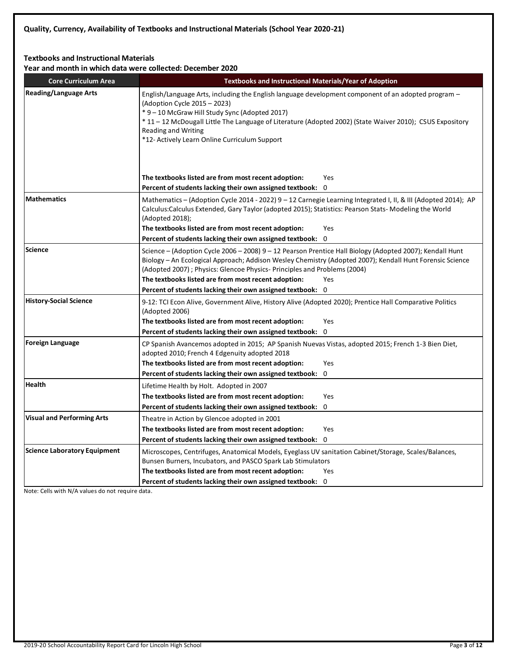## **Textbooks and Instructional Materials**

**Year and month in which data were collected: December 2020**

| <b>Core Curriculum Area</b>                                                                                                                                                                                                                                               | Textbooks and Instructional Materials/Year of Adoption                                                                                                                                                                                                                                                                                                                             |  |
|---------------------------------------------------------------------------------------------------------------------------------------------------------------------------------------------------------------------------------------------------------------------------|------------------------------------------------------------------------------------------------------------------------------------------------------------------------------------------------------------------------------------------------------------------------------------------------------------------------------------------------------------------------------------|--|
| <b>Reading/Language Arts</b>                                                                                                                                                                                                                                              | English/Language Arts, including the English language development component of an adopted program $-$<br>(Adoption Cycle 2015 - 2023)<br>* 9 - 10 McGraw Hill Study Sync (Adopted 2017)<br>*11 - 12 McDougall Little The Language of Literature (Adopted 2002) (State Waiver 2010); CSUS Expository<br><b>Reading and Writing</b><br>*12- Actively Learn Online Curriculum Support |  |
|                                                                                                                                                                                                                                                                           | The textbooks listed are from most recent adoption:<br>Yes                                                                                                                                                                                                                                                                                                                         |  |
|                                                                                                                                                                                                                                                                           | Percent of students lacking their own assigned textbook: 0                                                                                                                                                                                                                                                                                                                         |  |
| <b>Mathematics</b>                                                                                                                                                                                                                                                        | Mathematics – (Adoption Cycle 2014 - 2022) 9 – 12 Carnegie Learning Integrated I, II, & III (Adopted 2014); AP<br>Calculus:Calculus Extended, Gary Taylor (adopted 2015); Statistics: Pearson Stats-Modeling the World<br>(Adopted 2018);<br>The textbooks listed are from most recent adoption:<br>Yes<br>Percent of students lacking their own assigned textbook: 0              |  |
| <b>Science</b>                                                                                                                                                                                                                                                            | Science – (Adoption Cycle 2006 – 2008) 9 – 12 Pearson Prentice Hall Biology (Adopted 2007); Kendall Hunt<br>Biology – An Ecological Approach; Addison Wesley Chemistry (Adopted 2007); Kendall Hunt Forensic Science<br>(Adopted 2007) ; Physics: Glencoe Physics- Principles and Problems (2004)<br>The textbooks listed are from most recent adoption:<br>Yes                    |  |
|                                                                                                                                                                                                                                                                           | Percent of students lacking their own assigned textbook: 0                                                                                                                                                                                                                                                                                                                         |  |
| <b>History-Social Science</b>                                                                                                                                                                                                                                             | 9-12: TCI Econ Alive, Government Alive, History Alive (Adopted 2020); Prentice Hall Comparative Politics<br>(Adopted 2006)<br>The textbooks listed are from most recent adoption:<br>Yes<br>Percent of students lacking their own assigned textbook: 0                                                                                                                             |  |
| <b>Foreign Language</b>                                                                                                                                                                                                                                                   | CP Spanish Avancemos adopted in 2015; AP Spanish Nuevas Vistas, adopted 2015; French 1-3 Bien Diet,<br>adopted 2010; French 4 Edgenuity adopted 2018<br>The textbooks listed are from most recent adoption:<br>Yes<br>Percent of students lacking their own assigned textbook: 0                                                                                                   |  |
| Health                                                                                                                                                                                                                                                                    | Lifetime Health by Holt. Adopted in 2007                                                                                                                                                                                                                                                                                                                                           |  |
|                                                                                                                                                                                                                                                                           | The textbooks listed are from most recent adoption:<br>Yes<br>Percent of students lacking their own assigned textbook: 0                                                                                                                                                                                                                                                           |  |
| <b>Visual and Performing Arts</b>                                                                                                                                                                                                                                         | Theatre in Action by Glencoe adopted in 2001                                                                                                                                                                                                                                                                                                                                       |  |
|                                                                                                                                                                                                                                                                           | The textbooks listed are from most recent adoption:<br>Yes                                                                                                                                                                                                                                                                                                                         |  |
|                                                                                                                                                                                                                                                                           | Percent of students lacking their own assigned textbook: 0                                                                                                                                                                                                                                                                                                                         |  |
| <b>Science Laboratory Equipment</b><br>Microscopes, Centrifuges, Anatomical Models, Eyeglass UV sanitation Cabinet/Storage, Scales/Balances,<br>Bunsen Burners, Incubators, and PASCO Spark Lab Stimulators<br>The textbooks listed are from most recent adoption:<br>Yes |                                                                                                                                                                                                                                                                                                                                                                                    |  |
|                                                                                                                                                                                                                                                                           | Percent of students lacking their own assigned textbook: 0                                                                                                                                                                                                                                                                                                                         |  |

Note: Cells with N/A values do not require data.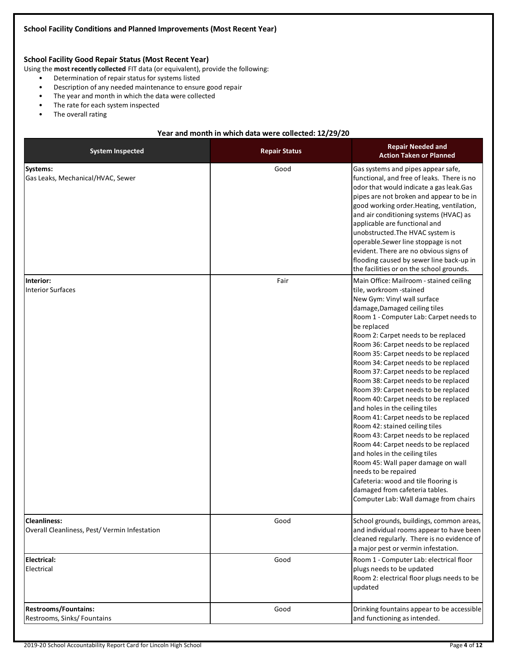## **School Facility Good Repair Status (Most Recent Year)**

Using the **most recently collected** FIT data (or equivalent), provide the following:

- Determination of repair status for systems listed
- Description of any needed maintenance to ensure good repair
- The year and month in which the data were collected
- The rate for each system inspected
- The overall rating

#### **Year and month in which data were collected: 12/29/20**

| <b>System Inspected</b>                                             | <b>Repair Status</b> | <b>Repair Needed and</b><br><b>Action Taken or Planned</b>                                                                                                                                                                                                                                                                                                                                                                                                                                                                                                                                                                                                                                                                                                                                                                                                                                                                                |
|---------------------------------------------------------------------|----------------------|-------------------------------------------------------------------------------------------------------------------------------------------------------------------------------------------------------------------------------------------------------------------------------------------------------------------------------------------------------------------------------------------------------------------------------------------------------------------------------------------------------------------------------------------------------------------------------------------------------------------------------------------------------------------------------------------------------------------------------------------------------------------------------------------------------------------------------------------------------------------------------------------------------------------------------------------|
| Systems:<br>Gas Leaks, Mechanical/HVAC, Sewer                       | Good                 | Gas systems and pipes appear safe,<br>functional, and free of leaks. There is no<br>odor that would indicate a gas leak.Gas<br>pipes are not broken and appear to be in<br>good working order. Heating, ventilation,<br>and air conditioning systems (HVAC) as<br>applicable are functional and<br>unobstructed. The HVAC system is<br>operable.Sewer line stoppage is not<br>evident. There are no obvious signs of<br>flooding caused by sewer line back-up in<br>the facilities or on the school grounds.                                                                                                                                                                                                                                                                                                                                                                                                                              |
| Interior:<br><b>Interior Surfaces</b>                               | Fair                 | Main Office: Mailroom - stained ceiling<br>tile, workroom -stained<br>New Gym: Vinyl wall surface<br>damage, Damaged ceiling tiles<br>Room 1 - Computer Lab: Carpet needs to<br>be replaced<br>Room 2: Carpet needs to be replaced<br>Room 36: Carpet needs to be replaced<br>Room 35: Carpet needs to be replaced<br>Room 34: Carpet needs to be replaced<br>Room 37: Carpet needs to be replaced<br>Room 38: Carpet needs to be replaced<br>Room 39: Carpet needs to be replaced<br>Room 40: Carpet needs to be replaced<br>and holes in the ceiling tiles<br>Room 41: Carpet needs to be replaced<br>Room 42: stained ceiling tiles<br>Room 43: Carpet needs to be replaced<br>Room 44: Carpet needs to be replaced<br>and holes in the ceiling tiles<br>Room 45: Wall paper damage on wall<br>needs to be repaired<br>Cafeteria: wood and tile flooring is<br>damaged from cafeteria tables.<br>Computer Lab: Wall damage from chairs |
| <b>Cleanliness:</b><br>Overall Cleanliness, Pest/Vermin Infestation | Good                 | School grounds, buildings, common areas,<br>and individual rooms appear to have been<br>cleaned regularly. There is no evidence of<br>a major pest or vermin infestation.                                                                                                                                                                                                                                                                                                                                                                                                                                                                                                                                                                                                                                                                                                                                                                 |
| <b>Electrical:</b><br>Electrical                                    | Good                 | Room 1 - Computer Lab: electrical floor<br>plugs needs to be updated<br>Room 2: electrical floor plugs needs to be<br>updated                                                                                                                                                                                                                                                                                                                                                                                                                                                                                                                                                                                                                                                                                                                                                                                                             |
| <b>Restrooms/Fountains:</b><br>Restrooms, Sinks/Fountains           | Good                 | Drinking fountains appear to be accessible<br>and functioning as intended.                                                                                                                                                                                                                                                                                                                                                                                                                                                                                                                                                                                                                                                                                                                                                                                                                                                                |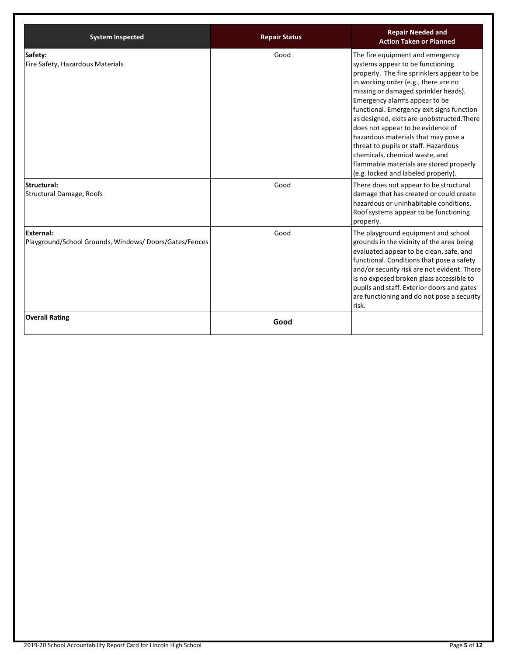| <b>System Inspected</b>                                                   | <b>Repair Status</b> | <b>Repair Needed and</b><br><b>Action Taken or Planned</b>                                                                                                                                                                                                                                                                                                                                                                                                                                                                                                             |
|---------------------------------------------------------------------------|----------------------|------------------------------------------------------------------------------------------------------------------------------------------------------------------------------------------------------------------------------------------------------------------------------------------------------------------------------------------------------------------------------------------------------------------------------------------------------------------------------------------------------------------------------------------------------------------------|
| Safety:<br>Fire Safety, Hazardous Materials                               | Good                 | The fire equipment and emergency<br>systems appear to be functioning<br>properly. The fire sprinklers appear to be<br>in working order (e.g., there are no<br>missing or damaged sprinkler heads).<br>Emergency alarms appear to be<br>functional. Emergency exit signs function<br>as designed, exits are unobstructed. There<br>does not appear to be evidence of<br>hazardous materials that may pose a<br>threat to pupils or staff. Hazardous<br>chemicals, chemical waste, and<br>flammable materials are stored properly<br>(e.g. locked and labeled properly). |
| Structural:<br><b>Structural Damage, Roofs</b>                            | Good                 | There does not appear to be structural<br>damage that has created or could create<br>hazardous or uninhabitable conditions.<br>Roof systems appear to be functioning<br>properly.                                                                                                                                                                                                                                                                                                                                                                                      |
| <b>External:</b><br>Playground/School Grounds, Windows/Doors/Gates/Fences | Good                 | The playground equipment and school<br>grounds in the vicinity of the area being<br>evaluated appear to be clean, safe, and<br>functional. Conditions that pose a safety<br>and/or security risk are not evident. There<br>is no exposed broken glass accessible to<br>pupils and staff. Exterior doors and gates<br>are functioning and do not pose a security<br>risk.                                                                                                                                                                                               |
| <b>Overall Rating</b>                                                     | Good                 |                                                                                                                                                                                                                                                                                                                                                                                                                                                                                                                                                                        |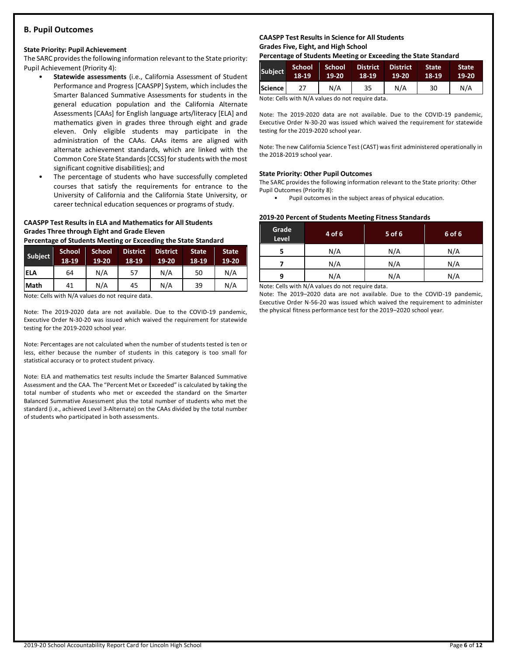## **B. Pupil Outcomes**

#### **State Priority: Pupil Achievement**

The SARC provides the following information relevant to the State priority: Pupil Achievement (Priority 4):

- **Statewide assessments** (i.e., California Assessment of Student Performance and Progress [CAASPP] System, which includes the Smarter Balanced Summative Assessments for students in the general education population and the California Alternate Assessments [CAAs] for English language arts/literacy [ELA] and mathematics given in grades three through eight and grade eleven. Only eligible students may participate in the administration of the CAAs. CAAs items are aligned with alternate achievement standards, which are linked with the Common Core State Standards [CCSS] for students with the most significant cognitive disabilities); and
- The percentage of students who have successfully completed courses that satisfy the requirements for entrance to the University of California and the California State University, or career technical education sequences or programs of study.

## **CAASPP Test Results in ELA and Mathematics for All Students Grades Three through Eight and Grade Eleven**

**Percentage of Students Meeting or Exceeding the State Standard**

| Subject     | <b>School</b><br>18-19 | <b>School</b><br>19-20 | <b>District</b><br>18-19 | <b>District</b><br>$19-20$ | <b>State</b><br>18-19 | <b>State</b><br>19-20 |
|-------------|------------------------|------------------------|--------------------------|----------------------------|-----------------------|-----------------------|
| <b>ELA</b>  | 64                     | N/A                    | 57                       | N/A                        | 50                    | N/A                   |
| <b>Math</b> | 41                     | N/A                    | 45                       | N/A                        | 39                    | N/A                   |

Note: Cells with N/A values do not require data.

Note: The 2019-2020 data are not available. Due to the COVID-19 pandemic, Executive Order N-30-20 was issued which waived the requirement for statewide testing for the 2019-2020 school year.

Note: Percentages are not calculated when the number of students tested is ten or less, either because the number of students in this category is too small for statistical accuracy or to protect student privacy.

Note: ELA and mathematics test results include the Smarter Balanced Summative Assessment and the CAA. The "Percent Met or Exceeded" is calculated by taking the total number of students who met or exceeded the standard on the Smarter Balanced Summative Assessment plus the total number of students who met the standard (i.e., achieved Level 3-Alternate) on the CAAs divided by the total number of students who participated in both assessments.

#### **CAASPP Test Results in Science for All Students Grades Five, Eight, and High School**

**Percentage of Students Meeting or Exceeding the State Standard**

| <b>Subject</b> | <b>School</b><br>18-19 | School<br>19-20 | <b>District</b><br>18-19 | <b>District</b><br>19-20 | State<br>18-19 | <b>State</b><br>$19-20$ |
|----------------|------------------------|-----------------|--------------------------|--------------------------|----------------|-------------------------|
| Science I      | 27                     | N/A             | 35                       | N/A                      | 30             | N/A                     |

Note: Cells with N/A values do not require data.

Note: The 2019-2020 data are not available. Due to the COVID-19 pandemic, Executive Order N-30-20 was issued which waived the requirement for statewide testing for the 2019-2020 school year.

Note: The new California Science Test (CAST) was first administered operationally in the 2018-2019 school year.

#### **State Priority: Other Pupil Outcomes**

The SARC provides the following information relevant to the State priority: Other Pupil Outcomes (Priority 8):

Pupil outcomes in the subject areas of physical education.

#### **2019-20 Percent of Students Meeting Fitness Standards**

| Grade<br>Level | 4 of 6 | 5 of 6 | 6 of 6 |
|----------------|--------|--------|--------|
|                | N/A    | N/A    | N/A    |
| N/A            |        | N/A    | N/A    |
| N/A<br>q       |        | N/A    | N/A    |

Note: Cells with N/A values do not require data.

Note: The 2019–2020 data are not available. Due to the COVID-19 pandemic, Executive Order N-56-20 was issued which waived the requirement to administer the physical fitness performance test for the 2019–2020 school year.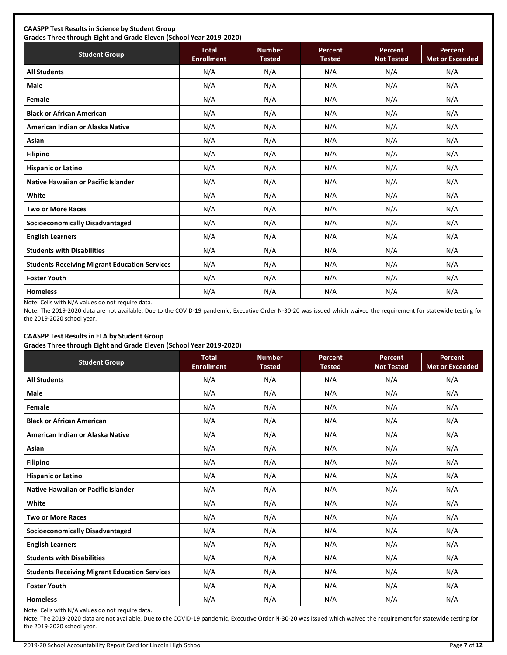## **CAASPP Test Results in Science by Student Group**

**Grades Three through Eight and Grade Eleven (School Year 2019-2020) Student Group Total Total Enrollment Number Tested Percent Tested Percent Not Tested Percent Met or Exceeded All Students** N/A N/A N/A N/A N/A **Male** N/A N/A N/A N/A N/A **Female** N/A N/A N/A N/A N/A **Black or African American** N/A N/A N/A N/A N/A **American Indian or Alaska Native** N/A N/A N/A N/A N/A **Asian** N/A N/A N/A N/A N/A **Filipino** N/A N/A N/A N/A N/A **Hispanic or Latino N/A N/A N/A N/A** N/A **Native Hawaiian or Pacific Islander**  $\begin{vmatrix} N/A & N/A & N/A & N/A \end{vmatrix}$  N/A N/A N/A N/A **White** N/A N/A N/A N/A N/A **Two or More Races** N/A N/A N/A N/A N/A **Socioeconomically Disadvantaged** N/A N/A N/A N/A N/A **English Learners** N/A N/A N/A N/A N/A **Students with Disabilities** N/A N/A N/A N/A N/A **Students Receiving Migrant Education Services | N/A | N/A | N/A | N/A | N/A | N/A Foster Youth** N/A N/A N/A N/A N/A **Homeless** N/A N/A N/A N/A N/A

Note: Cells with N/A values do not require data.

Note: The 2019-2020 data are not available. Due to the COVID-19 pandemic, Executive Order N-30-20 was issued which waived the requirement for statewide testing for the 2019-2020 school year.

## **CAASPP Test Results in ELA by Student Group**

**Grades Three through Eight and Grade Eleven (School Year 2019-2020)**

| <b>Student Group</b>                                 | - .<br><b>Total</b><br><b>Enrollment</b> | <b>Number</b><br><b>Tested</b> | <b>Percent</b><br><b>Tested</b> | <b>Percent</b><br><b>Not Tested</b> | Percent<br><b>Met or Exceeded</b> |
|------------------------------------------------------|------------------------------------------|--------------------------------|---------------------------------|-------------------------------------|-----------------------------------|
| <b>All Students</b>                                  | N/A                                      | N/A                            | N/A                             | N/A                                 | N/A                               |
| Male                                                 | N/A                                      | N/A                            | N/A                             | N/A                                 | N/A                               |
| Female                                               | N/A                                      | N/A                            | N/A                             | N/A                                 | N/A                               |
| <b>Black or African American</b>                     | N/A                                      | N/A                            | N/A                             | N/A                                 | N/A                               |
| American Indian or Alaska Native                     | N/A                                      | N/A                            | N/A                             | N/A                                 | N/A                               |
| Asian                                                | N/A                                      | N/A                            | N/A                             | N/A                                 | N/A                               |
| <b>Filipino</b>                                      | N/A                                      | N/A                            | N/A                             | N/A                                 | N/A                               |
| <b>Hispanic or Latino</b>                            | N/A                                      | N/A                            | N/A                             | N/A                                 | N/A                               |
| Native Hawaiian or Pacific Islander                  | N/A                                      | N/A                            | N/A                             | N/A                                 | N/A                               |
| White                                                | N/A                                      | N/A                            | N/A                             | N/A                                 | N/A                               |
| <b>Two or More Races</b>                             | N/A                                      | N/A                            | N/A                             | N/A                                 | N/A                               |
| <b>Socioeconomically Disadvantaged</b>               | N/A                                      | N/A                            | N/A                             | N/A                                 | N/A                               |
| <b>English Learners</b>                              | N/A                                      | N/A                            | N/A                             | N/A                                 | N/A                               |
| <b>Students with Disabilities</b>                    | N/A                                      | N/A                            | N/A                             | N/A                                 | N/A                               |
| <b>Students Receiving Migrant Education Services</b> | N/A                                      | N/A                            | N/A                             | N/A                                 | N/A                               |
| <b>Foster Youth</b>                                  | N/A                                      | N/A                            | N/A                             | N/A                                 | N/A                               |
| <b>Homeless</b>                                      | N/A                                      | N/A                            | N/A                             | N/A                                 | N/A                               |

Note: Cells with N/A values do not require data.

Note: The 2019-2020 data are not available. Due to the COVID-19 pandemic, Executive Order N-30-20 was issued which waived the requirement for statewide testing for the 2019-2020 school year.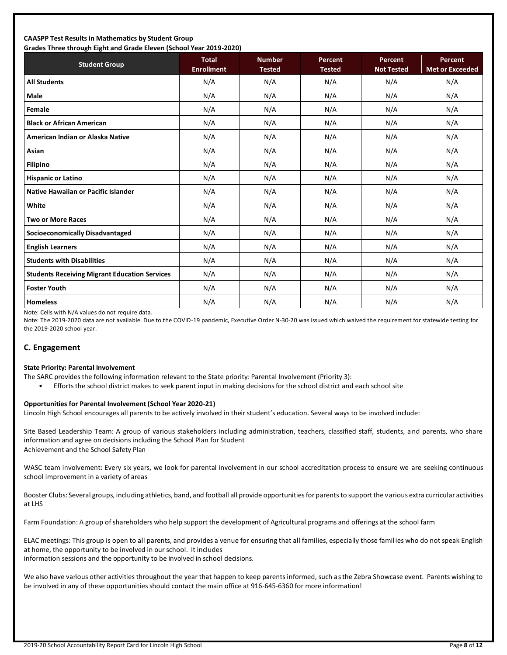#### **CAASPP Test Results in Mathematics by Student Group Grades Three through Eight and Grade Eleven (School Year 2019-2020)**

| Grades Three through Eight and Grade Eleven (School Tear 2019-2020)<br><b>Student Group</b> | <b>Total</b><br><b>Enrollment</b> | <b>Number</b><br><b>Tested</b> | <b>Percent</b><br><b>Tested</b> | Percent<br><b>Not Tested</b> | Percent<br><b>Met or Exceeded</b> |
|---------------------------------------------------------------------------------------------|-----------------------------------|--------------------------------|---------------------------------|------------------------------|-----------------------------------|
| <b>All Students</b>                                                                         | N/A                               | N/A                            | N/A                             | N/A                          | N/A                               |
| <b>Male</b>                                                                                 | N/A                               | N/A                            | N/A                             | N/A                          | N/A                               |
| Female                                                                                      | N/A                               | N/A                            | N/A                             | N/A                          | N/A                               |
| <b>Black or African American</b>                                                            | N/A                               | N/A                            | N/A                             | N/A                          | N/A                               |
| American Indian or Alaska Native                                                            | N/A                               | N/A                            | N/A                             | N/A                          | N/A                               |
| Asian                                                                                       | N/A                               | N/A                            | N/A                             | N/A                          | N/A                               |
| <b>Filipino</b>                                                                             | N/A                               | N/A                            | N/A                             | N/A                          | N/A                               |
| <b>Hispanic or Latino</b>                                                                   | N/A                               | N/A                            | N/A                             | N/A                          | N/A                               |
| Native Hawaiian or Pacific Islander                                                         | N/A                               | N/A                            | N/A                             | N/A                          | N/A                               |
| White                                                                                       | N/A                               | N/A                            | N/A                             | N/A                          | N/A                               |
| <b>Two or More Races</b>                                                                    | N/A                               | N/A                            | N/A                             | N/A                          | N/A                               |
| <b>Socioeconomically Disadvantaged</b>                                                      | N/A                               | N/A                            | N/A                             | N/A                          | N/A                               |
| <b>English Learners</b>                                                                     | N/A                               | N/A                            | N/A                             | N/A                          | N/A                               |
| <b>Students with Disabilities</b>                                                           | N/A                               | N/A                            | N/A                             | N/A                          | N/A                               |
| <b>Students Receiving Migrant Education Services</b>                                        | N/A                               | N/A                            | N/A                             | N/A                          | N/A                               |
| <b>Foster Youth</b>                                                                         | N/A                               | N/A                            | N/A                             | N/A                          | N/A                               |
| <b>Homeless</b>                                                                             | N/A                               | N/A                            | N/A                             | N/A                          | N/A                               |

Note: Cells with N/A values do not require data.

Note: The 2019-2020 data are not available. Due to the COVID-19 pandemic, Executive Order N-30-20 was issued which waived the requirement for statewide testing for the 2019-2020 school year.

## **C. Engagement**

#### **State Priority: Parental Involvement**

- The SARC provides the following information relevant to the State priority: Parental Involvement (Priority 3):
	- Efforts the school district makes to seek parent input in making decisions for the school district and each school site

#### **Opportunities for Parental Involvement (School Year 2020-21)**

Lincoln High School encourages all parents to be actively involved in their student's education. Several ways to be involved include:

Site Based Leadership Team: A group of various stakeholders including administration, teachers, classified staff, students, and parents, who share information and agree on decisions including the School Plan for Student Achievement and the School Safety Plan

WASC team involvement: Every six years, we look for parental involvement in our school accreditation process to ensure we are seeking continuous school improvement in a variety of areas

Booster Clubs: Several groups, including athletics, band, and football all provide opportunities for parents to support the various extra curricular activities at LHS

Farm Foundation: A group of shareholders who help support the development of Agricultural programs and offerings at the school farm

ELAC meetings: This group is open to all parents, and provides a venue for ensuring that all families, especially those families who do not speak English at home, the opportunity to be involved in our school. It includes

information sessions and the opportunity to be involved in school decisions.

We also have various other activities throughout the year that happen to keep parents informed, such as the Zebra Showcase event. Parents wishing to be involved in any of these opportunities should contact the main office at 916-645-6360 for more information!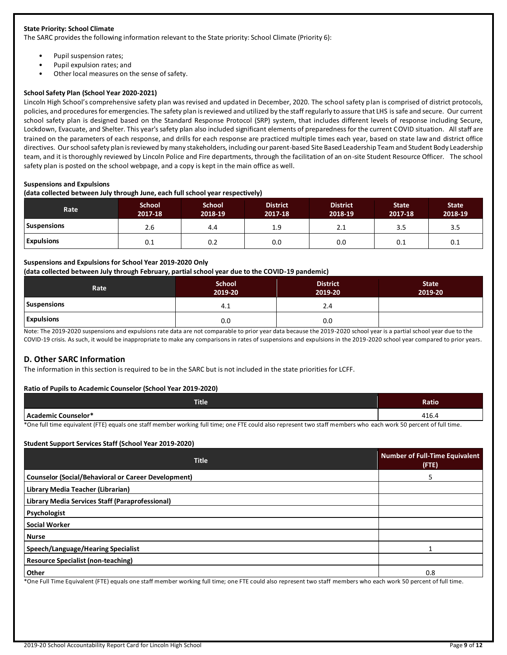#### **State Priority: School Climate**

The SARC provides the following information relevant to the State priority: School Climate (Priority 6):

- Pupil suspension rates;
- Pupil expulsion rates; and
- Other local measures on the sense of safety.

#### **School Safety Plan (School Year 2020-2021)**

Lincoln High School's comprehensive safety plan was revised and updated in December, 2020. The school safety plan is comprised of district protocols, policies, and procedures for emergencies. The safety plan is reviewed and utilized by the staff regularly to assure that LHS is safe and secure. Our current school safety plan is designed based on the Standard Response Protocol (SRP) system, that includes different levels of response including Secure, Lockdown, Evacuate, and Shelter. This year's safety plan also included significant elements of preparedness for the current COVID situation. All staff are trained on the parameters of each response, and drills for each response are practiced multiple times each year, based on state law and district office directives. Our school safety plan is reviewed by many stakeholders, including our parent-based Site Based Leadership Team and Student Body Leadership team, and it is thoroughly reviewed by Lincoln Police and Fire departments, through the facilitation of an on-site Student Resource Officer. The school safety plan is posted on the school webpage, and a copy is kept in the main office as well.

#### **Suspensions and Expulsions**

**(data collected between July through June, each full school year respectively)**

| Rate <sup>'</sup>  | <b>School</b><br>2017-18 | <b>School</b><br>2018-19 | <b>District</b><br>2017-18 | <b>District</b><br>2018-19 | <b>State</b><br>2017-18 | <b>State</b><br>2018-19 |
|--------------------|--------------------------|--------------------------|----------------------------|----------------------------|-------------------------|-------------------------|
| <b>Suspensions</b> | 2.6                      | 4.4                      | 1.9                        | 2.1                        | 3.5                     | 3.5                     |
| <b>Expulsions</b>  | 0.1                      | 0.2                      | 0.0                        | 0.0                        | 0.1                     | 0.1                     |

#### **Suspensions and Expulsions for School Year 2019-2020 Only**

#### **(data collected between July through February, partial school year due to the COVID-19 pandemic)**

| Rate               | <b>School</b><br>2019-20 | <b>District</b><br>2019-20 | <b>State</b><br>2019-20 |
|--------------------|--------------------------|----------------------------|-------------------------|
| <b>Suspensions</b> | 4.⊥                      | 2.4                        |                         |
| <b>Expulsions</b>  | 0.0                      | 0.0                        |                         |

Note: The 2019-2020 suspensions and expulsions rate data are not comparable to prior year data because the 2019-2020 school year is a partial school year due to the COVID-19 crisis. As such, it would be inappropriate to make any comparisons in rates of suspensions and expulsions in the 2019-2020 school year compared to prior years.

#### **D. Other SARC Information**

The information in this section is required to be in the SARC but is not included in the state priorities for LCFF.

#### **Ratio of Pupils to Academic Counselor (School Year 2019-2020)**

| Title <sup>1</sup> | Ratio                  |
|--------------------|------------------------|
| er Counselor *     | $\overline{A}$<br>יט⊥+ |

\*One full time equivalent (FTE) equals one staff member working full time; one FTE could also represent two staff members who each work 50 percent of full time.

#### **Student Support Services Staff (School Year 2019-2020)**

| <b>Title</b>                                                                                                                                                    | <b>Number of Full-Time Equivalent</b><br>$($ FTE $)$ |
|-----------------------------------------------------------------------------------------------------------------------------------------------------------------|------------------------------------------------------|
| <b>Counselor (Social/Behavioral or Career Development)</b>                                                                                                      |                                                      |
| Library Media Teacher (Librarian)                                                                                                                               |                                                      |
| Library Media Services Staff (Paraprofessional)                                                                                                                 |                                                      |
| Psychologist                                                                                                                                                    |                                                      |
| <b>Social Worker</b>                                                                                                                                            |                                                      |
| Nurse                                                                                                                                                           |                                                      |
| Speech/Language/Hearing Specialist                                                                                                                              |                                                      |
| <b>Resource Specialist (non-teaching)</b>                                                                                                                       |                                                      |
| Other                                                                                                                                                           | 0.8                                                  |
| *One Full Time Faulupleat (FTE) equals ano staff member weeking full time and FTE equiled les concernt two staff members who cash week FO necessit of full time |                                                      |

e Full Time Equivalent (FTE) equals one staff member working full time; one FTE could also represent two staff members who each work 50 percent of full time.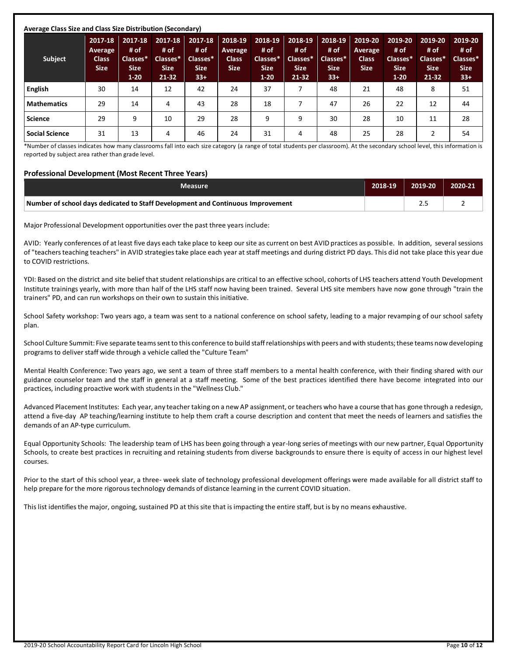| <b>Subject</b>        | 2017-18<br>Average<br><b>Class</b><br><b>Size</b> | 2017-18<br># of<br>Classes*<br><b>Size</b><br>$1 - 20$ | 2017-18<br># of<br>Classes*<br><b>Size</b><br>$21-32$ | 2017-18<br># of<br>Classes*<br><b>Size</b><br>$33+$ | 2018-19<br><b>Average</b><br><b>Class</b><br><b>Size</b> | 2018-19<br># of<br>Classes*<br><b>Size</b><br>$1-20$ | 2018-19<br># of<br>Classes*<br><b>Size</b><br>$21 - 32$ | 2018-19<br># of<br>Classes*<br><b>Size</b><br>$33+$ | 2019-20<br>Average<br><b>Class</b><br><b>Size</b> | 2019-20<br># of<br>Classes*<br><b>Size</b><br>$1-20$ | 2019-20<br># of<br>Classes*<br><b>Size</b><br>21-32 | 2019-20<br># of<br>Classes*<br><b>Size</b><br>$33+$ |
|-----------------------|---------------------------------------------------|--------------------------------------------------------|-------------------------------------------------------|-----------------------------------------------------|----------------------------------------------------------|------------------------------------------------------|---------------------------------------------------------|-----------------------------------------------------|---------------------------------------------------|------------------------------------------------------|-----------------------------------------------------|-----------------------------------------------------|
| <b>English</b>        | 30                                                | 14                                                     | 12                                                    | 42                                                  | 24                                                       | 37                                                   |                                                         | 48                                                  | 21                                                | 48                                                   | 8                                                   | 51                                                  |
| <b>Mathematics</b>    | 29                                                | 14                                                     | 4                                                     | 43                                                  | 28                                                       | 18                                                   |                                                         | 47                                                  | 26                                                | 22                                                   | 12                                                  | 44                                                  |
| <b>Science</b>        | 29                                                | 9                                                      | 10                                                    | 29                                                  | 28                                                       | 9                                                    | 9                                                       | 30                                                  | 28                                                | 10                                                   | 11                                                  | 28                                                  |
| <b>Social Science</b> | 31                                                | 13                                                     | 4                                                     | 46                                                  | 24                                                       | 31                                                   | 4                                                       | 48                                                  | 25                                                | 28                                                   | 2                                                   | 54                                                  |

\*Number of classes indicates how many classrooms fall into each size category (a range of total students per classroom). At the secondary school level, this information is reported by subject area rather than grade level.

#### **Professional Development (Most Recent Three Years)**

| <b>Measure</b>                                                                  | 2018-19 | 2019-20  | 2020-21 |
|---------------------------------------------------------------------------------|---------|----------|---------|
| Number of school days dedicated to Staff Development and Continuous Improvement |         | <u>.</u> |         |

Major Professional Development opportunities over the past three years include:

AVID: Yearly conferences of at least five days each take place to keep our site as current on best AVID practices as possible. In addition, several sessions of "teachers teaching teachers" in AVID strategies take place each year at staff meetings and during district PD days. This did not take place this year due to COVID restrictions.

YDI: Based on the district and site belief that student relationships are critical to an effective school, cohorts of LHS teachers attend Youth Development Institute trainings yearly, with more than half of the LHS staff now having been trained. Several LHS site members have now gone through "train the trainers" PD, and can run workshops on their own to sustain this initiative.

School Safety workshop: Two years ago, a team was sent to a national conference on school safety, leading to a major revamping of our school safety plan.

School Culture Summit: Five separate teams sent to this conference to build staff relationships with peers and with students; these teams now developing programs to deliver staff wide through a vehicle called the "Culture Team"

Mental Health Conference: Two years ago, we sent a team of three staff members to a mental health conference, with their finding shared with our guidance counselor team and the staff in general at a staff meeting. Some of the best practices identified there have become integrated into our practices, including proactive work with students in the "Wellness Club."

Advanced Placement Institutes: Each year, any teacher taking on a new AP assignment, or teachers who have a course that has gone through a redesign, attend a five-day AP teaching/learning institute to help them craft a course description and content that meet the needs of learners and satisfies the demands of an AP-type curriculum.

Equal Opportunity Schools: The leadership team of LHS has been going through a year-long series of meetings with our new partner, Equal Opportunity Schools, to create best practices in recruiting and retaining students from diverse backgrounds to ensure there is equity of access in our highest level courses.

Prior to the start of this school year, a three- week slate of technology professional development offerings were made available for all district staff to help prepare for the more rigorous technology demands of distance learning in the current COVID situation.

This list identifies the major, ongoing, sustained PD at this site that is impacting the entire staff, but is by no means exhaustive.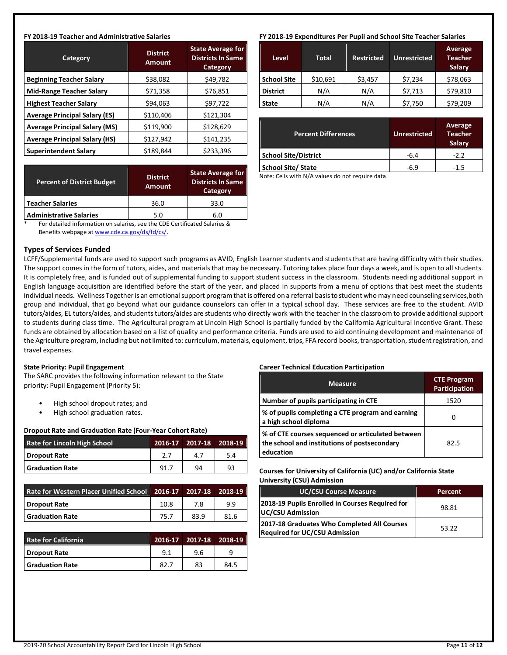#### **FY 2018-19 Teacher and Administrative Salaries**

| Category                             | <b>District</b><br><b>Amount</b> | <b>State Average for</b><br><b>Districts In Same</b><br>Category |
|--------------------------------------|----------------------------------|------------------------------------------------------------------|
| <b>Beginning Teacher Salary</b>      | \$38,082                         | \$49,782                                                         |
| <b>Mid-Range Teacher Salary</b>      | \$71,358                         | \$76,851                                                         |
| <b>Highest Teacher Salary</b>        | \$94,063                         | \$97,722                                                         |
| <b>Average Principal Salary (ES)</b> | \$110,406                        | \$121,304                                                        |
| <b>Average Principal Salary (MS)</b> | \$119,900                        | \$128,629                                                        |
| <b>Average Principal Salary (HS)</b> | \$127,942                        | \$141,235                                                        |
| <b>Superintendent Salary</b>         | \$189,844                        | \$233,396                                                        |

| <b>Percent of District Budget</b> | <b>District</b><br><b>Amount</b> | <b>State Average for</b><br><b>Districts In Same</b><br>Category |  |  |
|-----------------------------------|----------------------------------|------------------------------------------------------------------|--|--|
| <b>Teacher Salaries</b>           | 36.0                             | 33.0                                                             |  |  |
| <b>Administrative Salaries</b>    | 5.0                              | 6.0                                                              |  |  |

For detailed information on salaries, see the CDE Certificated Salaries & Benefits webpage at [www.cde.ca.gov/ds/fd/cs/.](http://www.cde.ca.gov/ds/fd/cs/)

#### **Types of Services Funded**

#### LCFF/Supplemental funds are used to support such programs as AVID, English Learner students and students that are having difficulty with their studies. The support comes in the form of tutors, aides, and materials that may be necessary. Tutoring takes place four days a week, and is open to all students. It is completely free, and is funded out of supplemental funding to support student success in the classroom. Students needing additional support in English language acquisition are identified before the start of the year, and placed in supports from a menu of options that best meet the students individual needs. Wellness Together is an emotional support program that is offered on a referral basis to student who may need counseling services,both group and individual, that go beyond what our guidance counselors can offer in a typical school day. These services are free to the student. AVID tutors/aides, EL tutors/aides, and students tutors/aides are students who directly work with the teacher in the classroom to provide additional support to students during class time. The Agricultural program at Lincoln High School is partially funded by the California Agricultural Incentive Grant. These funds are obtained by allocation based on a list of quality and performance criteria. Funds are used to aid continuing development and maintenance of the Agriculture program, including but not limited to: curriculum, materials, equipment, trips, FFA record books, transportation, student registration, and travel expenses.

#### **State Priority: Pupil Engagement**

The SARC provides the following information relevant to the State priority: Pupil Engagement (Priority 5):

- High school dropout rates; and
- High school graduation rates.

## **Dropout Rate and Graduation Rate (Four-Year Cohort Rate)**

| <b>Rate for Lincoln High School</b> |      | 2016-17   2017-18 2018-19 |     |
|-------------------------------------|------|---------------------------|-----|
| Dropout Rate                        | 2.7  | 4.7                       | 5.4 |
| <b>Graduation Rate</b>              | 91.7 | 94                        | 93  |

| Rate for Western Placer Unified School 2016-17 2017-18 2018-19 |      |      |      |
|----------------------------------------------------------------|------|------|------|
| Dropout Rate                                                   | 10.8 | 7.8  | 9.9  |
| <b>Graduation Rate</b>                                         | 75.7 | 83.9 | 81.6 |

| <b>Rate for California</b> |      | 2016-17   2017-18   2018-19 |      |
|----------------------------|------|-----------------------------|------|
| Dropout Rate               | 9.1  | 9.6                         | a    |
| <b>Graduation Rate</b>     | 82.7 | 83                          | 84.5 |

## **FY 2018-19 Expenditures Per Pupil and School Site Teacher Salaries**

| <b>Level</b>       | <b>Total</b> | <b>Restricted</b> | <b>Unrestricted</b> | Average<br><b>Teacher</b><br><b>Salary</b> |
|--------------------|--------------|-------------------|---------------------|--------------------------------------------|
| <b>School Site</b> | \$10,691     | \$3,457           | \$7,234             | \$78,063                                   |
| <b>District</b>    | N/A          | N/A               | \$7,713             | \$79,810                                   |
| <b>State</b>       | N/A          | N/A               | \$7,750             | \$79,209                                   |

| <b>Percent Differences</b>  | <b>Unrestricted</b> | Average<br><b>Teacher</b><br>Salary |
|-----------------------------|---------------------|-------------------------------------|
| <b>School Site/District</b> | $-6.4$              | $-2.2$                              |
| <b>School Site/ State</b>   | $-6.9$              | -1.5                                |

Note: Cells with N/A values do not require data.

#### **Career Technical Education Participation**

| <b>Measure</b>                                                                                                  | <b>CTE Program</b><br>Participation |
|-----------------------------------------------------------------------------------------------------------------|-------------------------------------|
| Number of pupils participating in CTE                                                                           | 1520                                |
| % of pupils completing a CTE program and earning<br>a high school diploma                                       | O                                   |
| ∣% of CTE courses sequenced or articulated between<br>the school and institutions of postsecondary<br>education | 82.5                                |

**Courses for University of California (UC) and/or California State University (CSU) Admission**

| <b>UC/CSU Course Measure</b>                                                        | Percent |
|-------------------------------------------------------------------------------------|---------|
| 2018-19 Pupils Enrolled in Courses Required for<br>UC/CSU Admission                 | 98.81   |
| 2017-18 Graduates Who Completed All Courses<br><b>Required for UC/CSU Admission</b> | 53.22   |